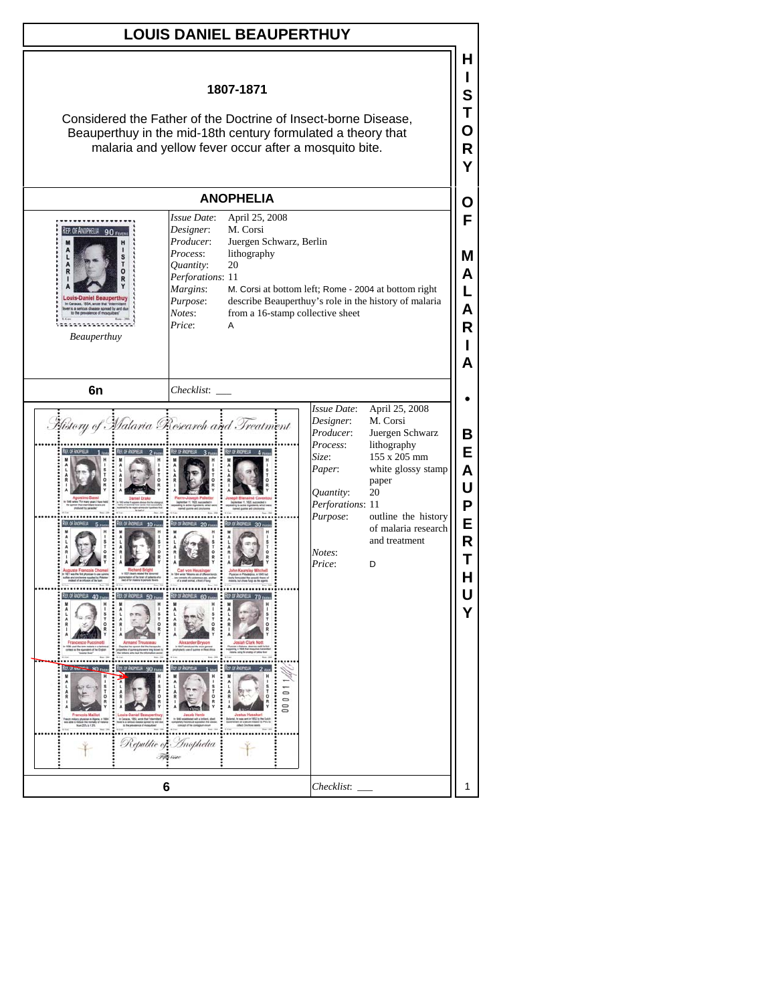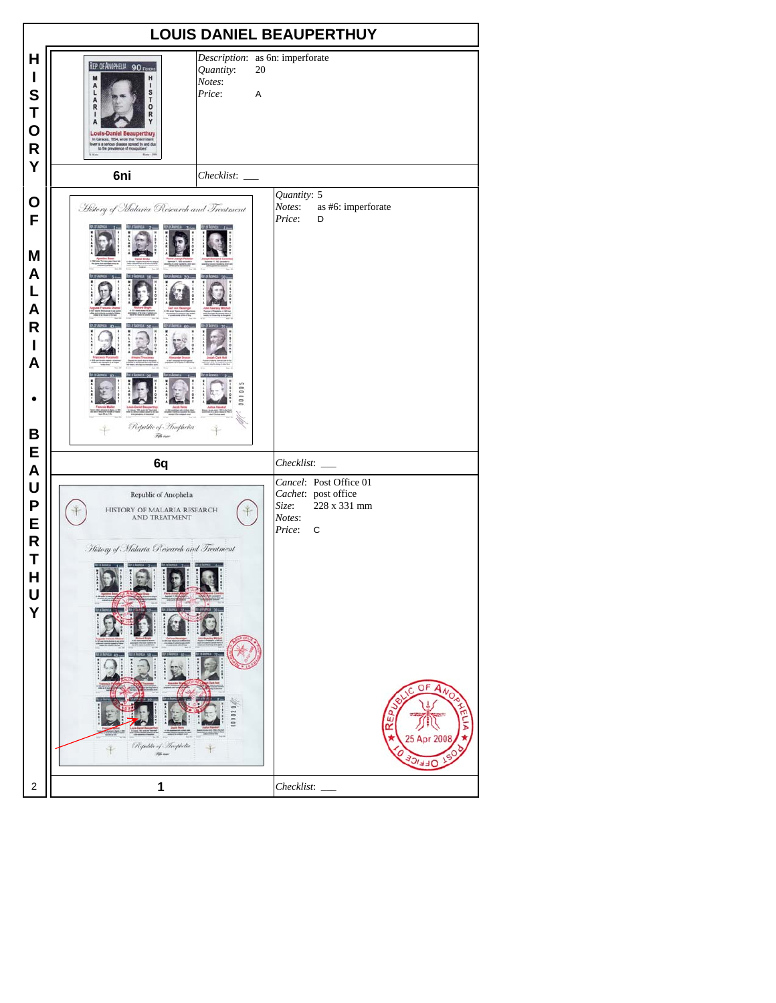|                                            |                                                                                                                                                                                                                                |                                            |                                 | <b>LOUIS DANIEL BEAUPERTHUY</b>                                                             |
|--------------------------------------------|--------------------------------------------------------------------------------------------------------------------------------------------------------------------------------------------------------------------------------|--------------------------------------------|---------------------------------|---------------------------------------------------------------------------------------------|
| H<br>I<br>S<br>Τ<br>O<br>$\mathsf{R}$<br>Υ | REP. OF ANOPHELIA 90 FEVERS<br>Quantity:<br>H<br>M<br>Notes:<br>A<br>1<br>S<br>Price:<br>L<br>A<br>т<br>R<br>о<br>R<br><b>Louis-Daniel Beauperthuy</b><br>In Caracas, 1854, wrote that "intermittent<br>to the prevalence of m | Description: as 6n: imperforate<br>20<br>A |                                 |                                                                                             |
|                                            | 6ni                                                                                                                                                                                                                            | Checklist:                                 |                                 |                                                                                             |
| O<br>F<br>M<br>A<br>L<br>A                 | History of Malaria Research and Treatment                                                                                                                                                                                      |                                            | Quantity: 5<br>Notes:<br>Price: | as #6: imperforate<br>D                                                                     |
| R<br>I<br>A<br>В<br>E                      | Republic of Amophelia<br>. Fell care                                                                                                                                                                                           |                                            |                                 |                                                                                             |
| A                                          | 6q                                                                                                                                                                                                                             |                                            | Checklist:                      |                                                                                             |
| U<br>P<br>Е<br>R<br>Τ<br>H<br>U<br>Y       | Republic of Anophelia<br>HISTORY OF MALARIA RESEARCH<br>AND TREATMENT<br>History of Malaria Research and Treatment<br>Republic of Anophelia<br>Fili in                                                                         |                                            | Size:<br>Notes:<br>Price:       | Cancel: Post Office 01<br>Cachet: post office<br>228 x 331 mm<br>C<br>O<br>5 Apr 200<br>ドドル |
| 2                                          | 1                                                                                                                                                                                                                              |                                            | Checklist:                      |                                                                                             |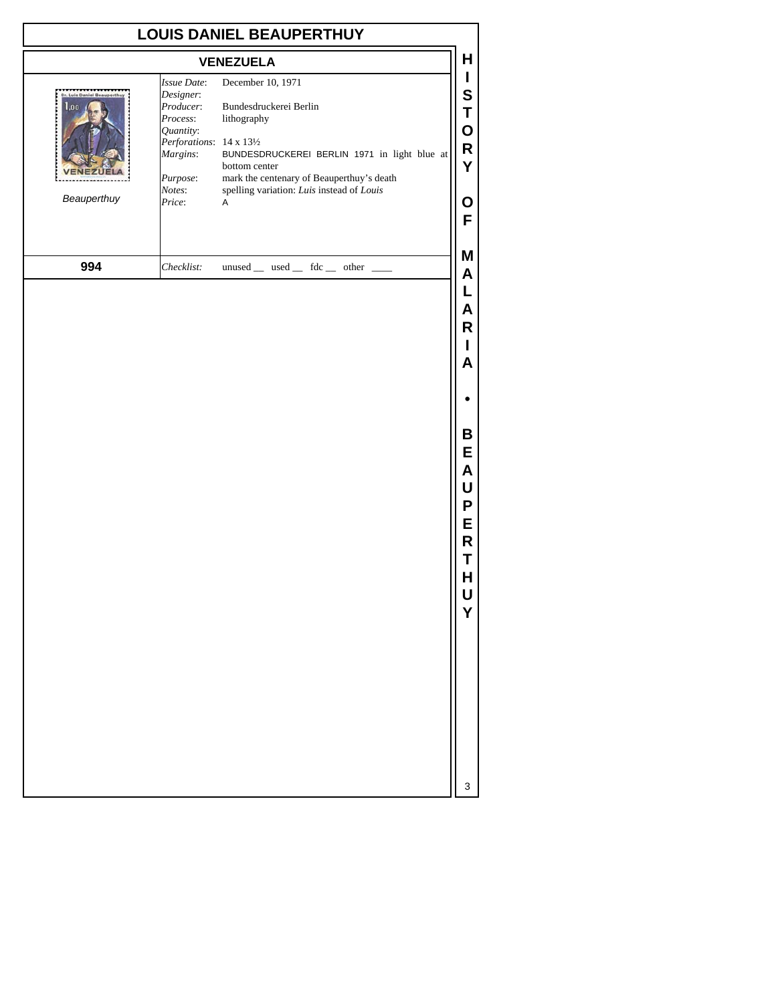| <b>VENEZUELA</b><br>December 10, 1971<br><b>Issue Date:</b>                                                                                                                                                                                                                                                                                                                                  |
|----------------------------------------------------------------------------------------------------------------------------------------------------------------------------------------------------------------------------------------------------------------------------------------------------------------------------------------------------------------------------------------------|
|                                                                                                                                                                                                                                                                                                                                                                                              |
| Designer:<br><b>Dr. Luis Daniel Beauperthu</b><br>Bundesdruckerei Berlin<br>1.00<br>Producer:<br>Process:<br>lithography<br>Quantity:<br>Perforations: 14 x 131/2<br>BUNDESDRUCKEREI BERLIN 1971 in light blue at<br>Margins:<br>bottom center<br>Purpose:<br>mark the centenary of Beauperthuy's death<br>Notes:<br>spelling variation: Luis instead of Louis<br>Beauperthuy<br>Price:<br>Α |
| 994<br>Checklist:<br>unused _ used _ fdc _ other _                                                                                                                                                                                                                                                                                                                                           |
|                                                                                                                                                                                                                                                                                                                                                                                              |
|                                                                                                                                                                                                                                                                                                                                                                                              |
|                                                                                                                                                                                                                                                                                                                                                                                              |